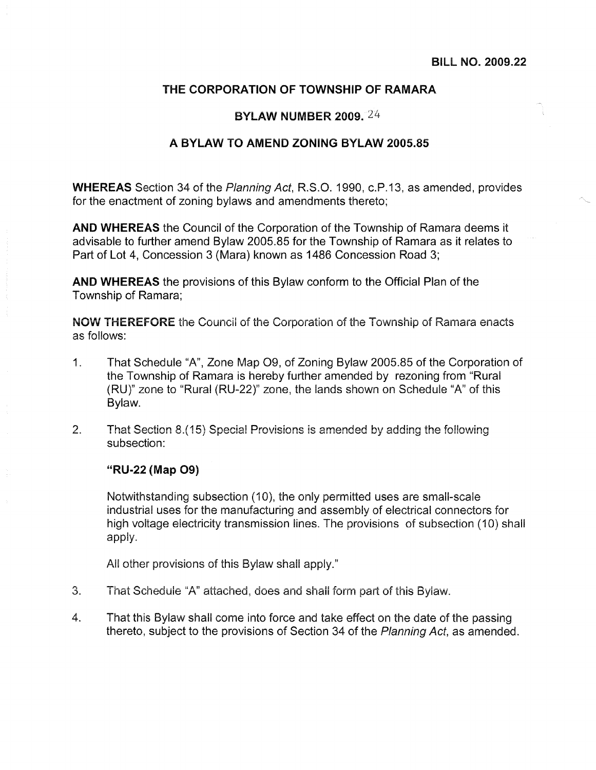## THE CORPORATION OF TOWNSHIP OF RAMARA

#### **BYLAW NUMBER 2009.** 24

### A BYLAW TO AMEND ZONING BYLAW 2005.85

**WHEREAS** Section 34 of the Planning Act, R.S.O. 1990, c.P.13, as amended, provides for the enactment of zoning bylaws and amendments thereto;

AND WHEREAS the Council of the Corporation of the Township of Ramara deems it advisable to further amend Bylaw 2005.85 for the Township of Ramara as it relates to Part of Lot 4, Concession 3 (Mara) known as 1486 Concession Road 3;

**AND WHEREAS** the provisions of this Bylaw conform to the Official Plan of the Township of Ramara;

**NOW THEREFORE** the Council of the Corporation of the Township of Ramara enacts as follows:

- $1<sub>1</sub>$ That Schedule "A", Zone Map O9, of Zoning Bylaw 2005.85 of the Corporation of the Township of Ramara is hereby further amended by rezoning from "Rural" (RU)" zone to "Rural (RU-22)" zone, the lands shown on Schedule "A" of this Bylaw.
- $2.$ That Section 8.(15) Special Provisions is amended by adding the following subsection:

#### "RU-22 (Map O9)

Notwithstanding subsection (10), the only permitted uses are small-scale industrial uses for the manufacturing and assembly of electrical connectors for high voltage electricity transmission lines. The provisions of subsection (10) shall apply.

All other provisions of this Bylaw shall apply."

- 3. That Schedule "A" attached, does and shall form part of this Bylaw.
- $\overline{4}$ . That this Bylaw shall come into force and take effect on the date of the passing thereto, subject to the provisions of Section 34 of the Planning Act, as amended.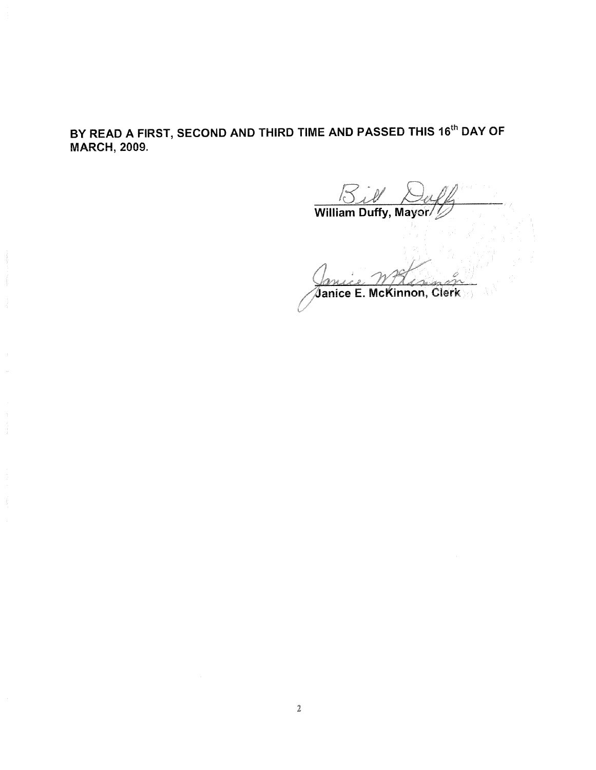# BY READ A FIRST, SECOND AND THIRD TIME AND PASSED THIS 16<sup>th</sup> DAY OF **MARCH, 2009.**

**Bill** Dal

Janice E. McKinnon, Clerk